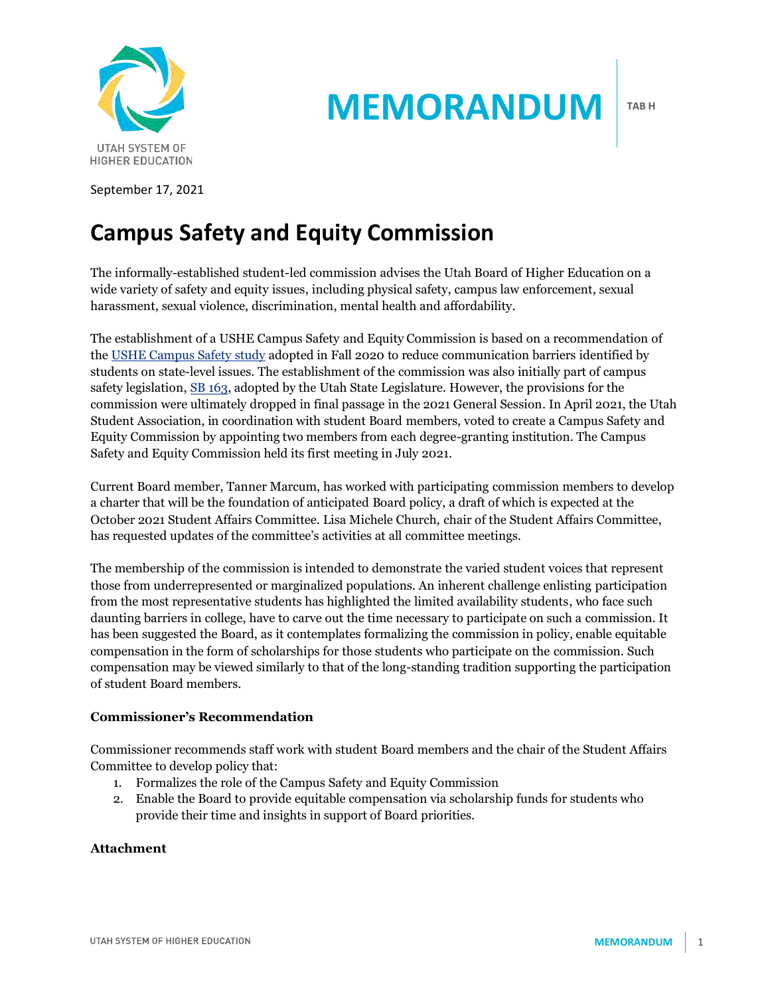

September 17, 2021

# **Campus Safety and Equity Commission**

The informally-established student-led commission advises the Utah Board of Higher Education on a wide variety of safety and equity issues, including physical safety, campus law enforcement, sexual harassment, sexual violence, discrimination, mental health and affordability.

**MEMORANDUM**

The establishment of a USHE Campus Safety and Equity Commission is based on a recommendation of th[e USHE Campus Safety study](https://ushe.edu/wp-content/uploads/pdf/agendas/20201120/11-20-2020_sa_tab_d.pdf) adopted in Fall 2020 to reduce communication barriers identified by students on state-level issues. The establishment of the commission was also initially part of campus safety legislation, [SB 163,](https://le.utah.gov/~2021/bills/static/SB0163.html) adopted by the Utah State Legislature. However, the provisions for the commission were ultimately dropped in final passage in the 2021 General Session. In April 2021, the Utah Student Association, in coordination with student Board members, voted to create a Campus Safety and Equity Commission by appointing two members from each degree-granting institution. The Campus Safety and Equity Commission held its first meeting in July 2021.

Current Board member, Tanner Marcum, has worked with participating commission members to develop a charter that will be the foundation of anticipated Board policy, a draft of which is expected at the October 2021 Student Affairs Committee. Lisa Michele Church, chair of the Student Affairs Committee, has requested updates of the committee's activities at all committee meetings.

The membership of the commission is intended to demonstrate the varied student voices that represent those from underrepresented or marginalized populations. An inherent challenge enlisting participation from the most representative students has highlighted the limited availability students, who face such daunting barriers in college, have to carve out the time necessary to participate on such a commission. It has been suggested the Board, as it contemplates formalizing the commission in policy, enable equitable compensation in the form of scholarships for those students who participate on the commission. Such compensation may be viewed similarly to that of the long-standing tradition supporting the participation of student Board members.

#### **Commissioner's Recommendation**

Commissioner recommends staff work with student Board members and the chair of the Student Affairs Committee to develop policy that:

- 1. Formalizes the role of the Campus Safety and Equity Commission
- 2. Enable the Board to provide equitable compensation via scholarship funds for students who provide their time and insights in support of Board priorities.

#### **Attachment**

**TAB H**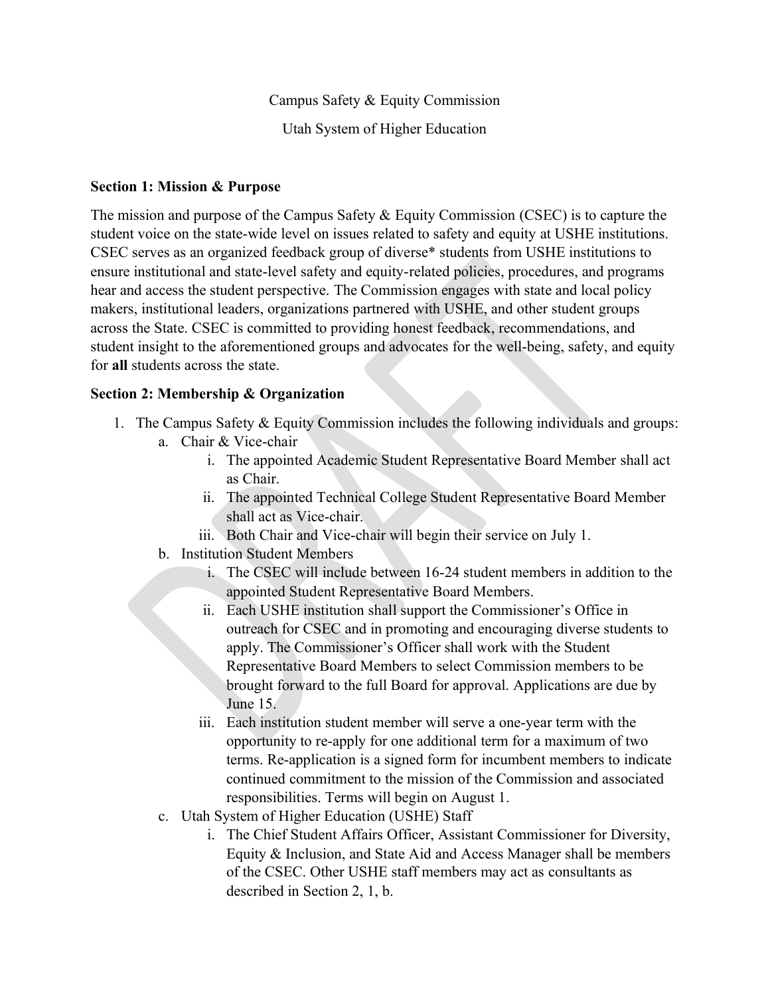Campus Safety & Equity Commission

Utah System of Higher Education

## **Section 1: Mission & Purpose**

The mission and purpose of the Campus Safety & Equity Commission (CSEC) is to capture the student voice on the state-wide level on issues related to safety and equity at USHE institutions. CSEC serves as an organized feedback group of diverse\* students from USHE institutions to ensure institutional and state-level safety and equity-related policies, procedures, and programs hear and access the student perspective. The Commission engages with state and local policy makers, institutional leaders, organizations partnered with USHE, and other student groups across the State. CSEC is committed to providing honest feedback, recommendations, and student insight to the aforementioned groups and advocates for the well-being, safety, and equity for **all** students across the state.

## **Section 2: Membership & Organization**

- 1. The Campus Safety & Equity Commission includes the following individuals and groups:
	- a. Chair & Vice-chair
		- i. The appointed Academic Student Representative Board Member shall act as Chair.
		- ii. The appointed Technical College Student Representative Board Member shall act as Vice-chair.
		- iii. Both Chair and Vice-chair will begin their service on July 1.
	- b. Institution Student Members
		- i. The CSEC will include between 16-24 student members in addition to the appointed Student Representative Board Members.
		- ii. Each USHE institution shall support the Commissioner's Office in outreach for CSEC and in promoting and encouraging diverse students to apply. The Commissioner's Officer shall work with the Student Representative Board Members to select Commission members to be brought forward to the full Board for approval. Applications are due by June 15.
		- iii. Each institution student member will serve a one-year term with the opportunity to re-apply for one additional term for a maximum of two terms. Re-application is a signed form for incumbent members to indicate continued commitment to the mission of the Commission and associated responsibilities. Terms will begin on August 1.
	- c. Utah System of Higher Education (USHE) Staff
		- i. The Chief Student Affairs Officer, Assistant Commissioner for Diversity, Equity & Inclusion, and State Aid and Access Manager shall be members of the CSEC. Other USHE staff members may act as consultants as described in Section 2, 1, b.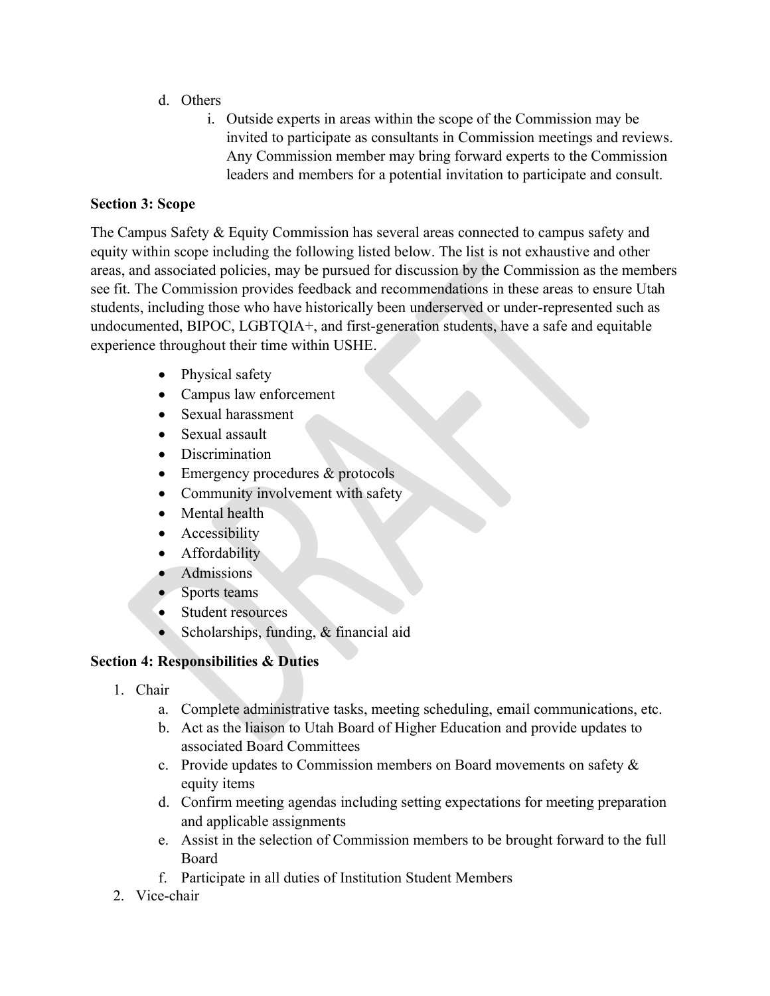- d. Others
	- i. Outside experts in areas within the scope of the Commission may be invited to participate as consultants in Commission meetings and reviews. Any Commission member may bring forward experts to the Commission leaders and members for a potential invitation to participate and consult.

# **Section 3: Scope**

The Campus Safety & Equity Commission has several areas connected to campus safety and equity within scope including the following listed below. The list is not exhaustive and other areas, and associated policies, may be pursued for discussion by the Commission as the members see fit. The Commission provides feedback and recommendations in these areas to ensure Utah students, including those who have historically been underserved or under-represented such as undocumented, BIPOC, LGBTQIA+, and first-generation students, have a safe and equitable experience throughout their time within USHE.

- Physical safety
- Campus law enforcement
- Sexual harassment
- Sexual assault
- Discrimination
- Emergency procedures & protocols
- Community involvement with safety
- Mental health
- Accessibility
- Affordability
- Admissions
- Sports teams
- Student resources
- Scholarships, funding, & financial aid

# **Section 4: Responsibilities & Duties**

- 1. Chair
	- a. Complete administrative tasks, meeting scheduling, email communications, etc.
	- b. Act as the liaison to Utah Board of Higher Education and provide updates to associated Board Committees
	- c. Provide updates to Commission members on Board movements on safety & equity items
	- d. Confirm meeting agendas including setting expectations for meeting preparation and applicable assignments
	- e. Assist in the selection of Commission members to be brought forward to the full Board
	- f. Participate in all duties of Institution Student Members
- 2. Vice-chair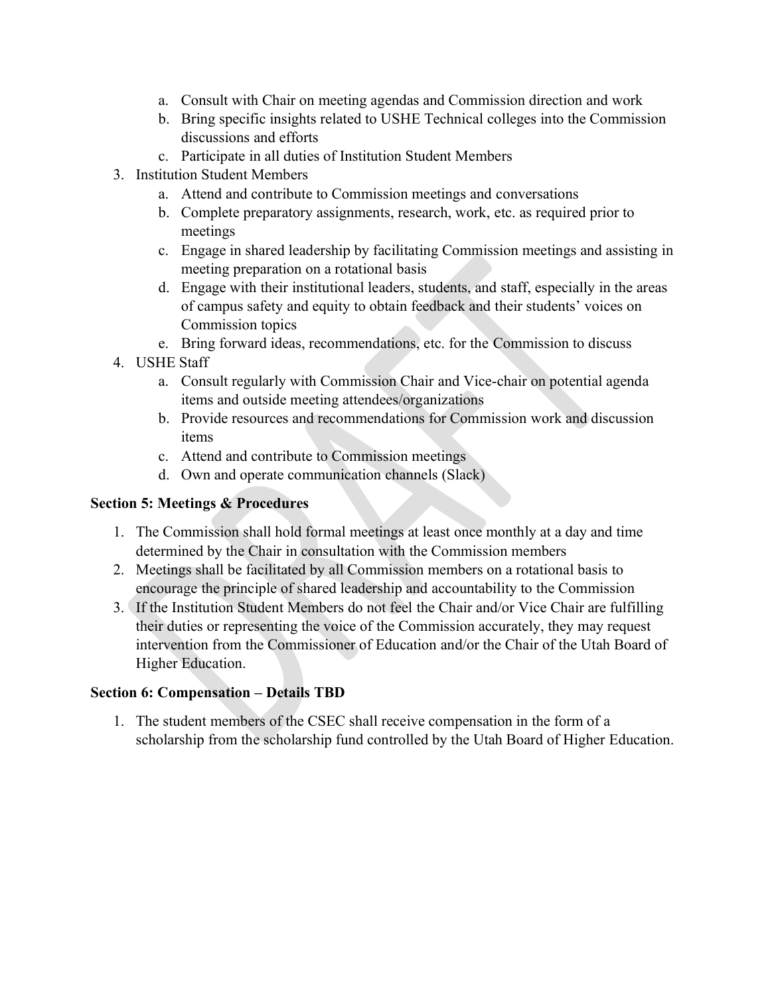- a. Consult with Chair on meeting agendas and Commission direction and work
- b. Bring specific insights related to USHE Technical colleges into the Commission discussions and efforts
- c. Participate in all duties of Institution Student Members
- 3. Institution Student Members
	- a. Attend and contribute to Commission meetings and conversations
	- b. Complete preparatory assignments, research, work, etc. as required prior to meetings
	- c. Engage in shared leadership by facilitating Commission meetings and assisting in meeting preparation on a rotational basis
	- d. Engage with their institutional leaders, students, and staff, especially in the areas of campus safety and equity to obtain feedback and their students' voices on Commission topics
	- e. Bring forward ideas, recommendations, etc. for the Commission to discuss
- 4. USHE Staff
	- a. Consult regularly with Commission Chair and Vice-chair on potential agenda items and outside meeting attendees/organizations
	- b. Provide resources and recommendations for Commission work and discussion items
	- c. Attend and contribute to Commission meetings
	- d. Own and operate communication channels (Slack)

# **Section 5: Meetings & Procedures**

- 1. The Commission shall hold formal meetings at least once monthly at a day and time determined by the Chair in consultation with the Commission members
- 2. Meetings shall be facilitated by all Commission members on a rotational basis to encourage the principle of shared leadership and accountability to the Commission
- 3. If the Institution Student Members do not feel the Chair and/or Vice Chair are fulfilling their duties or representing the voice of the Commission accurately, they may request intervention from the Commissioner of Education and/or the Chair of the Utah Board of Higher Education.

# **Section 6: Compensation – Details TBD**

1. The student members of the CSEC shall receive compensation in the form of a scholarship from the scholarship fund controlled by the Utah Board of Higher Education.